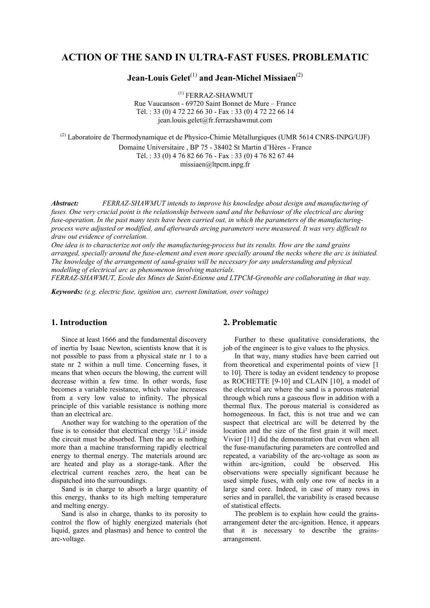## **ACTION OF THE SAND IN ULTRA-FAST FUSES. PROBLEMATIC**

# **Jean-Louis Gelet**(1) **and Jean-Michel Missiaen**(2)

 (1) FERRAZ-SHAWMUT Rue Vaucanson - 69720 Saint Bonnet de Mure – France Tél. : 33 (0) 4 72 22 66 30 - Fax : 33 (0) 4 72 22 66 14 jean.louis.gelet@fr.ferrazshawmut.com

 $^{(2)}$  Laboratoire de Thermodynamique et de Physico-Chimie Métallurgiques (UMR 5614 CNRS-INPG/UJF) Domaine Universitaire , BP 75 - 38402 St Martin d'Hères - France Tél. : 33 (0) 4 76 82 66 76 - Fax : 33 (0) 4 76 82 67 44 missiaen@ltpcm.inpg.fr

*Abstract: FERRAZ-SHAWMUT intends to improve his knowledge about design and manufacturing of fuses. One very crucial point is the relationship between sand and the behaviour of the electrical arc during fuse-operation. In the past many tests have been carried out, in which the parameters of the manufacturingprocess were adjusted or modified, and afterwards arcing parameters were measured. It was very difficult to draw out evidence of correlation.* 

*One idea is to characterize not only the manufacturing-process but its results. How are the sand grains arranged, specially around the fuse-element and even more specially around the necks where the arc is initiated. The knowledge of the arrangement of sand-grains will be necessary for any understanding and physical modelling of electrical arc as phenomenon involving materials.* 

*FERRAZ-SHAWMUT, Ecole des Mines de Saint-Etienne and LTPCM-Grenoble are collaborating in that way.* 

*Keywords: (e.g. electric fuse, ignition arc, current limitation, over voltage)* 

## **1. Introduction**

Since at least 1666 and the fundamental discovery of inertia by Isaac Newton, scientists know that it is not possible to pass from a physical state nr 1 to a state nr 2 within a null time. Concerning fuses, it means that when occurs the blowing, the current will decrease within a few time. In other words, fuse becomes a variable resistance, which value increases from a very low value to infinity. The physical principle of this variable resistance is nothing more than an electrical arc.

Another way for watching to the operation of the fuse is to consider that electrical energy  $\frac{1}{2}Li^2$  inside the circuit must be absorbed. Then the arc is nothing more than a machine transforming rapidly electrical energy to thermal energy. The materials around arc are heated and play as a storage-tank. After the electrical current reaches zero, the heat can be dispatched into the surroundings.

Sand is in charge to absorb a large quantity of this energy, thanks to its high melting temperature and melting energy.

Sand is also in charge, thanks to its porosity to control the flow of highly energized materials (hot liquid, gazes and plasmas) and hence to control the arc-voltage.

## **2. Problematic**

Further to these qualitative considerations, the job of the engineer is to give values to the physics.

In that way, many studies have been carried out from theoretical and experimental points of view [1 to 10]. There is today an evident tendency to propose as ROCHETTE [9-10] and CLAIN [10], a model of the electrical arc where the sand is a porous material through which runs a gaseous flow in addition with a thermal flux. The porous material is considered as homogeneous. In fact, this is not true and we can suspect that electrical arc will be deterred by the location and the size of the first grain it will meet. Vivier [11] did the demonstration that even when all the fuse-manufacturing parameters are controlled and repeated, a variability of the arc-voltage as soon as within arc-ignition, could be observed. His observations were specially significant because he used simple fuses, with only one row of necks in a large sand core. Indeed, in case of many rows in series and in parallel, the variability is erased because of statistical effects.

The problem is to explain how could the grainsarrangement deter the arc-ignition. Hence, it appears that it is necessary to describe the grainsarrangement.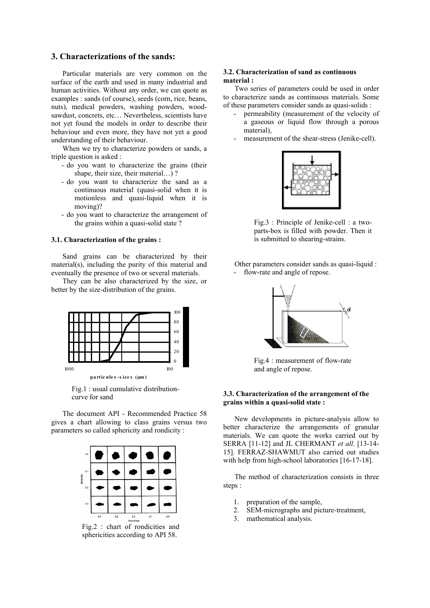## **3. Characterizations of the sands:**

Particular materials are very common on the surface of the earth and used in many industrial and human activities. Without any order, we can quote as examples : sands (of course), seeds (corn, rice, beans, nuts), medical powders, washing powders, woodsawdust, concrets, etc… Nevertheless, scientists have not yet found the models in order to describe their behaviour and even more, they have not yet a good understanding of their behaviour.

When we try to characterize powders or sands, a triple question is asked :

- do you want to characterize the grains (their shape, their size, their material...)?
- do you want to characterize the sand as a continuous material (quasi-solid when it is motionless and quasi-liquid when it is moving)?
- do you want to characterize the arrangement of the grains within a quasi-solid state ?

#### **3.1. Characterization of the grains :**

Sand grains can be characterized by their material(s), including the purity of this material and eventually the presence of two or several materials.

They can be also characterized by the size, or better by the size-distribution of the grains.



Fig.1 : usual cumulative distributioncurve for sand

The document API - Recommended Practice 58 gives a chart allowing to class grains versus two parameters so called sphericity and rondicity :



Fig.2 : chart of rondicities and sphericities according to API 58.

#### **3.2. Characterization of sand as continuous material :**

Two series of parameters could be used in order to characterize sands as continuous materials. Some of these parameters consider sands as quasi-solids :

- permeability (measurement of the velocity of a gaseous or liquid flow through a porous material),
- measurement of the shear-stress (Jenike-cell).



Fig.3 : Principle of Jenike-cell : a twoparts-box is filled with powder. Then it is submitted to shearing-strains.

Other parameters consider sands as quasi-liquid : flow-rate and angle of repose.



Fig.4 : measurement of flow-rate and angle of repose.

## **3.3. Characterization of the arrangement of the grains within a quasi-solid state :**

New developments in picture-analysis allow to better characterize the arrangements of granular materials. We can quote the works carried out by SERRA [11-12] and JL CHERMANT *et all*. [13-14- 15]. FERRAZ-SHAWMUT also carried out studies with help from high-school laboratories [16-17-18].

The method of characterization consists in three steps :

- 1. preparation of the sample,
- 2. SEM-micrographs and picture-treatment,
- 3. mathematical analysis.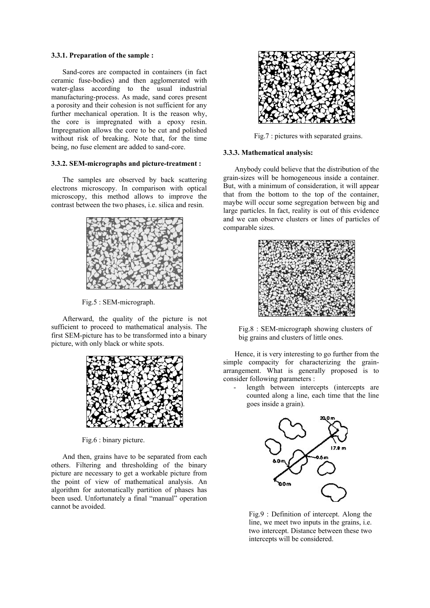#### **3.3.1. Preparation of the sample :**

Sand-cores are compacted in containers (in fact ceramic fuse-bodies) and then agglomerated with water-glass according to the usual industrial manufacturing-process. As made, sand cores present a porosity and their cohesion is not sufficient for any further mechanical operation. It is the reason why, the core is impregnated with a epoxy resin. Impregnation allows the core to be cut and polished without risk of breaking. Note that, for the time being, no fuse element are added to sand-core.

#### **3.3.2. SEM-micrographs and picture-treatment :**

The samples are observed by back scattering electrons microscopy. In comparison with optical microscopy, this method allows to improve the contrast between the two phases, i.e. silica and resin.



Fig.5 : SEM-micrograph.

Afterward, the quality of the picture is not sufficient to proceed to mathematical analysis. The first SEM-picture has to be transformed into a binary picture, with only black or white spots.



Fig.6 : binary picture.

And then, grains have to be separated from each others. Filtering and thresholding of the binary picture are necessary to get a workable picture from the point of view of mathematical analysis. An algorithm for automatically partition of phases has been used. Unfortunately a final "manual" operation cannot be avoided.



Fig.7 : pictures with separated grains.

#### **3.3.3. Mathematical analysis:**

Anybody could believe that the distribution of the grain-sizes will be homogeneous inside a container. But, with a minimum of consideration, it will appear that from the bottom to the top of the container, maybe will occur some segregation between big and large particles. In fact, reality is out of this evidence and we can observe clusters or lines of particles of comparable sizes.



Fig.8 : SEM-micrograph showing clusters of big grains and clusters of little ones.

Hence, it is very interesting to go further from the simple compacity for characterizing the grainarrangement. What is generally proposed is to consider following parameters :

length between intercepts (intercepts are counted along a line, each time that the line goes inside a grain).



Fig.9 : Definition of intercept. Along the line, we meet two inputs in the grains, i.e. two intercept. Distance between these two intercepts will be considered.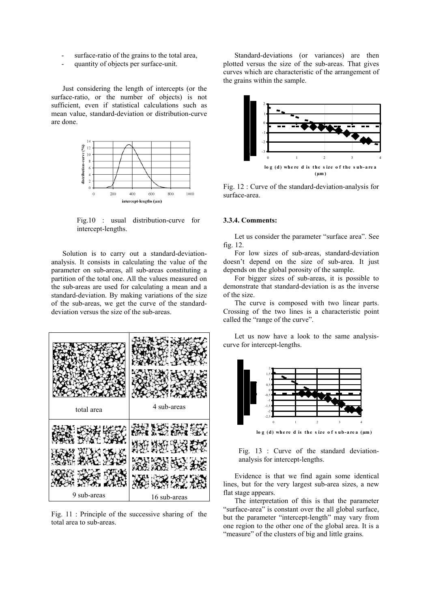- surface-ratio of the grains to the total area,
- quantity of objects per surface-unit.

Just considering the length of intercepts (or the surface-ratio, or the number of objects) is not sufficient, even if statistical calculations such as mean value, standard-deviation or distribution-curve are done.



Fig.10 : usual distribution-curve for intercept-lengths.

Solution is to carry out a standard-deviationanalysis. It consists in calculating the value of the parameter on sub-areas, all sub-areas constituting a partition of the total one. All the values measured on the sub-areas are used for calculating a mean and a standard-deviation. By making variations of the size of the sub-areas, we get the curve of the standarddeviation versus the size of the sub-areas.



Fig. 11 : Principle of the successive sharing of the total area to sub-areas.

Standard-deviations (or variances) are then plotted versus the size of the sub-areas. That gives curves which are characteristic of the arrangement of the grains within the sample.



Fig. 12 : Curve of the standard-deviation-analysis for surface-area.

#### **3.3.4. Comments:**

Let us consider the parameter "surface area". See fig. 12.

For low sizes of sub-areas, standard-deviation doesn't depend on the size of sub-area. It just depends on the global porosity of the sample.

For bigger sizes of sub-areas, it is possible to demonstrate that standard-deviation is as the inverse of the size.

The curve is composed with two linear parts. Crossing of the two lines is a characteristic point called the "range of the curve".

Let us now have a look to the same analysiscurve for intercept-lengths.



Fig. 13 : Curve of the standard deviationanalysis for intercept-lengths.

Evidence is that we find again some identical lines, but for the very largest sub-area sizes, a new flat stage appears.

The interpretation of this is that the parameter "surface-area" is constant over the all global surface, but the parameter "intercept-length" may vary from one region to the other one of the global area. It is a "measure" of the clusters of big and little grains.